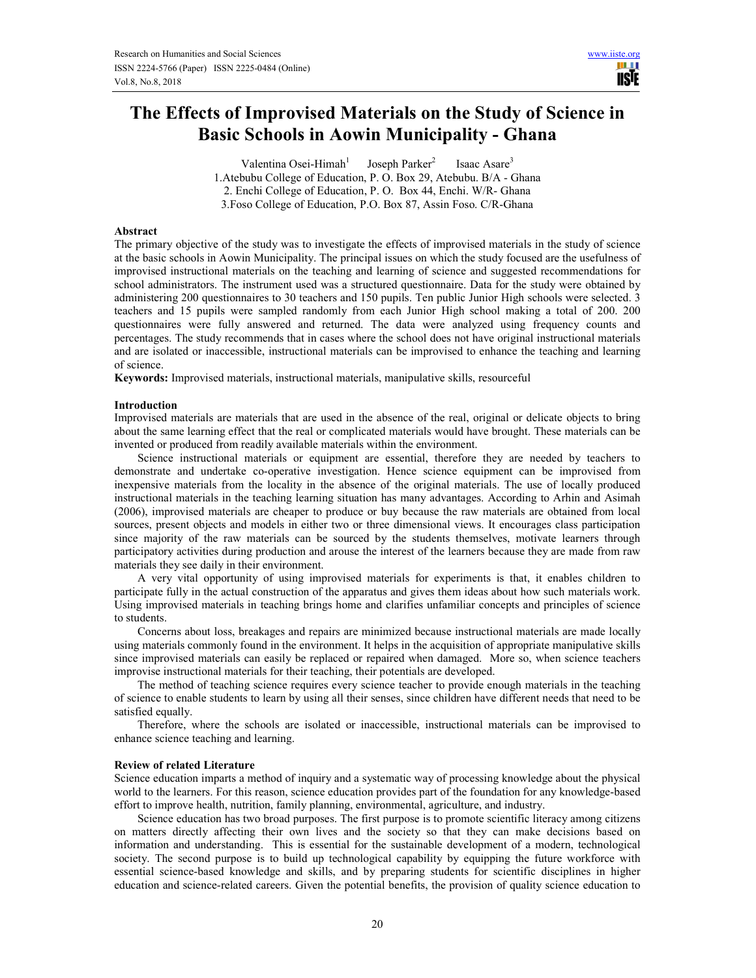m r **USIE** 

# **The Effects of Improvised Materials on the Study of Science in Basic Schools in Aowin Municipality - Ghana**

Valentina Osei-Himah<sup>1</sup> Joseph Parker<sup>2</sup> Isaac Asare<sup>3</sup> 1.Atebubu College of Education, P. O. Box 29, Atebubu. B/A - Ghana 2. Enchi College of Education, P. O. Box 44, Enchi. W/R- Ghana 3.Foso College of Education, P.O. Box 87, Assin Foso. C/R-Ghana

#### **Abstract**

The primary objective of the study was to investigate the effects of improvised materials in the study of science at the basic schools in Aowin Municipality. The principal issues on which the study focused are the usefulness of improvised instructional materials on the teaching and learning of science and suggested recommendations for school administrators. The instrument used was a structured questionnaire. Data for the study were obtained by administering 200 questionnaires to 30 teachers and 150 pupils. Ten public Junior High schools were selected. 3 teachers and 15 pupils were sampled randomly from each Junior High school making a total of 200. 200 questionnaires were fully answered and returned. The data were analyzed using frequency counts and percentages. The study recommends that in cases where the school does not have original instructional materials and are isolated or inaccessible, instructional materials can be improvised to enhance the teaching and learning of science.

**Keywords:** Improvised materials, instructional materials, manipulative skills, resourceful

#### **Introduction**

Improvised materials are materials that are used in the absence of the real, original or delicate objects to bring about the same learning effect that the real or complicated materials would have brought. These materials can be invented or produced from readily available materials within the environment.

Science instructional materials or equipment are essential, therefore they are needed by teachers to demonstrate and undertake co-operative investigation. Hence science equipment can be improvised from inexpensive materials from the locality in the absence of the original materials. The use of locally produced instructional materials in the teaching learning situation has many advantages. According to Arhin and Asimah (2006), improvised materials are cheaper to produce or buy because the raw materials are obtained from local sources, present objects and models in either two or three dimensional views. It encourages class participation since majority of the raw materials can be sourced by the students themselves, motivate learners through participatory activities during production and arouse the interest of the learners because they are made from raw materials they see daily in their environment.

A very vital opportunity of using improvised materials for experiments is that, it enables children to participate fully in the actual construction of the apparatus and gives them ideas about how such materials work. Using improvised materials in teaching brings home and clarifies unfamiliar concepts and principles of science to students.

Concerns about loss, breakages and repairs are minimized because instructional materials are made locally using materials commonly found in the environment. It helps in the acquisition of appropriate manipulative skills since improvised materials can easily be replaced or repaired when damaged. More so, when science teachers improvise instructional materials for their teaching, their potentials are developed.

The method of teaching science requires every science teacher to provide enough materials in the teaching of science to enable students to learn by using all their senses, since children have different needs that need to be satisfied equally.

Therefore, where the schools are isolated or inaccessible, instructional materials can be improvised to enhance science teaching and learning.

#### **Review of related Literature**

Science education imparts a method of inquiry and a systematic way of processing knowledge about the physical world to the learners. For this reason, science education provides part of the foundation for any knowledge-based effort to improve health, nutrition, family planning, environmental, agriculture, and industry.

Science education has two broad purposes. The first purpose is to promote scientific literacy among citizens on matters directly affecting their own lives and the society so that they can make decisions based on information and understanding. This is essential for the sustainable development of a modern, technological society. The second purpose is to build up technological capability by equipping the future workforce with essential science-based knowledge and skills, and by preparing students for scientific disciplines in higher education and science-related careers. Given the potential benefits, the provision of quality science education to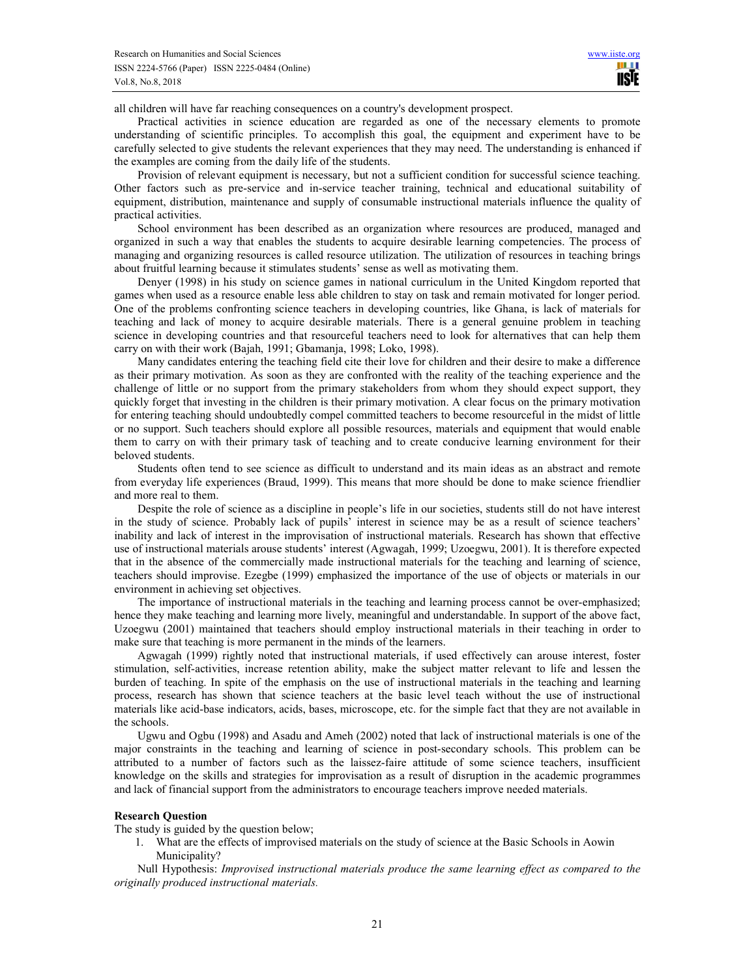all children will have far reaching consequences on a country's development prospect.

Practical activities in science education are regarded as one of the necessary elements to promote understanding of scientific principles. To accomplish this goal, the equipment and experiment have to be carefully selected to give students the relevant experiences that they may need. The understanding is enhanced if the examples are coming from the daily life of the students.

Provision of relevant equipment is necessary, but not a sufficient condition for successful science teaching. Other factors such as pre-service and in-service teacher training, technical and educational suitability of equipment, distribution, maintenance and supply of consumable instructional materials influence the quality of practical activities.

School environment has been described as an organization where resources are produced, managed and organized in such a way that enables the students to acquire desirable learning competencies. The process of managing and organizing resources is called resource utilization. The utilization of resources in teaching brings about fruitful learning because it stimulates students' sense as well as motivating them.

Denyer (1998) in his study on science games in national curriculum in the United Kingdom reported that games when used as a resource enable less able children to stay on task and remain motivated for longer period. One of the problems confronting science teachers in developing countries, like Ghana, is lack of materials for teaching and lack of money to acquire desirable materials. There is a general genuine problem in teaching science in developing countries and that resourceful teachers need to look for alternatives that can help them carry on with their work (Bajah, 1991; Gbamanja, 1998; Loko, 1998).

Many candidates entering the teaching field cite their love for children and their desire to make a difference as their primary motivation. As soon as they are confronted with the reality of the teaching experience and the challenge of little or no support from the primary stakeholders from whom they should expect support, they quickly forget that investing in the children is their primary motivation. A clear focus on the primary motivation for entering teaching should undoubtedly compel committed teachers to become resourceful in the midst of little or no support. Such teachers should explore all possible resources, materials and equipment that would enable them to carry on with their primary task of teaching and to create conducive learning environment for their beloved students.

Students often tend to see science as difficult to understand and its main ideas as an abstract and remote from everyday life experiences (Braud, 1999). This means that more should be done to make science friendlier and more real to them.

Despite the role of science as a discipline in people's life in our societies, students still do not have interest in the study of science. Probably lack of pupils' interest in science may be as a result of science teachers' inability and lack of interest in the improvisation of instructional materials. Research has shown that effective use of instructional materials arouse students' interest (Agwagah, 1999; Uzoegwu, 2001). It is therefore expected that in the absence of the commercially made instructional materials for the teaching and learning of science, teachers should improvise. Ezegbe (1999) emphasized the importance of the use of objects or materials in our environment in achieving set objectives.

The importance of instructional materials in the teaching and learning process cannot be over-emphasized; hence they make teaching and learning more lively, meaningful and understandable. In support of the above fact, Uzoegwu (2001) maintained that teachers should employ instructional materials in their teaching in order to make sure that teaching is more permanent in the minds of the learners.

Agwagah (1999) rightly noted that instructional materials, if used effectively can arouse interest, foster stimulation, self-activities, increase retention ability, make the subject matter relevant to life and lessen the burden of teaching. In spite of the emphasis on the use of instructional materials in the teaching and learning process, research has shown that science teachers at the basic level teach without the use of instructional materials like acid-base indicators, acids, bases, microscope, etc. for the simple fact that they are not available in the schools.

Ugwu and Ogbu (1998) and Asadu and Ameh (2002) noted that lack of instructional materials is one of the major constraints in the teaching and learning of science in post-secondary schools. This problem can be attributed to a number of factors such as the laissez-faire attitude of some science teachers, insufficient knowledge on the skills and strategies for improvisation as a result of disruption in the academic programmes and lack of financial support from the administrators to encourage teachers improve needed materials.

#### **Research Question**

The study is guided by the question below;

1. What are the effects of improvised materials on the study of science at the Basic Schools in Aowin Municipality?

Null Hypothesis: *Improvised instructional materials produce the same learning effect as compared to the originally produced instructional materials.*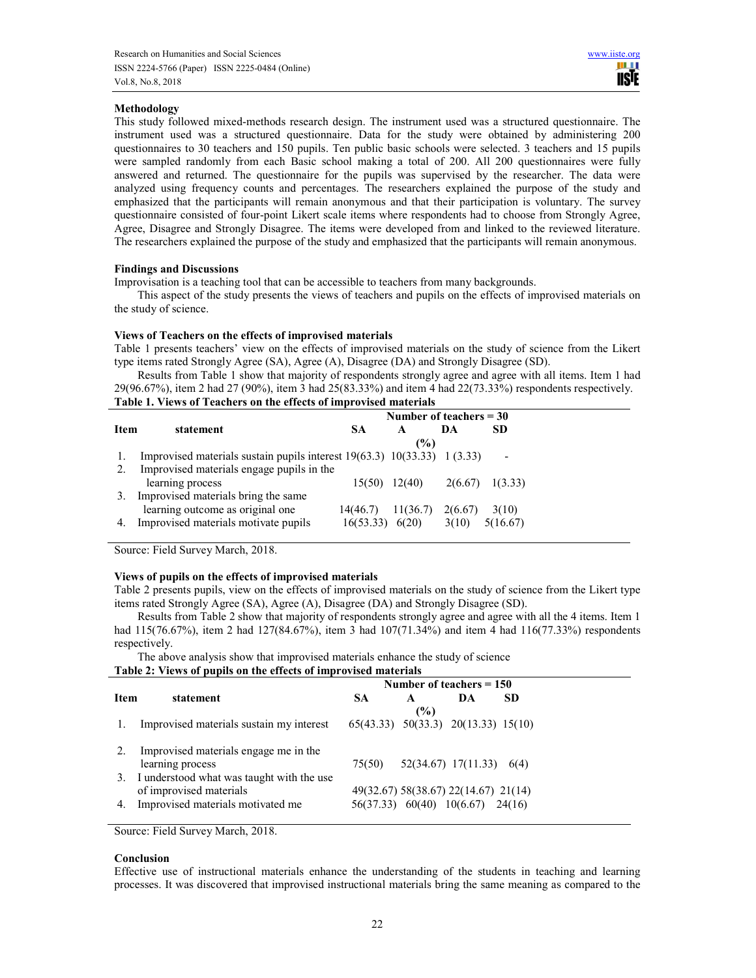## **Methodology**

This study followed mixed-methods research design. The instrument used was a structured questionnaire. The instrument used was a structured questionnaire. Data for the study were obtained by administering 200 questionnaires to 30 teachers and 150 pupils. Ten public basic schools were selected. 3 teachers and 15 pupils were sampled randomly from each Basic school making a total of 200. All 200 questionnaires were fully answered and returned. The questionnaire for the pupils was supervised by the researcher. The data were analyzed using frequency counts and percentages. The researchers explained the purpose of the study and emphasized that the participants will remain anonymous and that their participation is voluntary. The survey questionnaire consisted of four-point Likert scale items where respondents had to choose from Strongly Agree, Agree, Disagree and Strongly Disagree. The items were developed from and linked to the reviewed literature. The researchers explained the purpose of the study and emphasized that the participants will remain anonymous.

#### **Findings and Discussions**

Improvisation is a teaching tool that can be accessible to teachers from many backgrounds.

This aspect of the study presents the views of teachers and pupils on the effects of improvised materials on the study of science.

#### **Views of Teachers on the effects of improvised materials**

Table 1 presents teachers' view on the effects of improvised materials on the study of science from the Likert type items rated Strongly Agree (SA), Agree (A), Disagree (DA) and Strongly Disagree (SD).

Results from Table 1 show that majority of respondents strongly agree and agree with all items. Item 1 had 29(96.67%), item 2 had 27 (90%), item 3 had 25(83.33%) and item 4 had 22(73.33%) respondents respectively. **Table 1. Views of Teachers on the effects of improvised materials** 

|      |                                                                                                                            | Number of teachers $=$ 30 |          |         |                          |  |
|------|----------------------------------------------------------------------------------------------------------------------------|---------------------------|----------|---------|--------------------------|--|
| Item | statement                                                                                                                  | SА                        | A<br>(%) | DA      | <b>SD</b>                |  |
| 2.   | Improvised materials sustain pupils interest $19(63.3)$ $10(33.33)$ $1(3.33)$<br>Improvised materials engage pupils in the |                           |          |         | $\overline{\phantom{a}}$ |  |
|      | learning process                                                                                                           | $15(50)$ $12(40)$         |          | 2(6.67) | 1(3.33)                  |  |
|      | Improvised materials bring the same                                                                                        |                           |          |         |                          |  |
|      | learning outcome as original one                                                                                           | 14(46.7)                  | 11(36.7) | 2(6.67) | 3(10)                    |  |
|      | Improvised materials motivate pupils                                                                                       | 16(53.33)                 | 6(20)    | 3(10)   | 5(16.67)                 |  |

Source: Field Survey March, 2018.

### **Views of pupils on the effects of improvised materials**

Table 2 presents pupils, view on the effects of improvised materials on the study of science from the Likert type items rated Strongly Agree (SA), Agree (A), Disagree (DA) and Strongly Disagree (SD).

Results from Table 2 show that majority of respondents strongly agree and agree with all the 4 items. Item 1 had 115(76.67%), item 2 had 127(84.67%), item 3 had 107(71.34%) and item 4 had 116(77.33%) respondents respectively.

The above analysis show that improvised materials enhance the study of science

|      |                                              | Number of teachers $= 150$                  |     |                                      |     |  |
|------|----------------------------------------------|---------------------------------------------|-----|--------------------------------------|-----|--|
| Item | statement                                    | SА                                          | A   | DA                                   | -SD |  |
|      |                                              |                                             | (%) |                                      |     |  |
|      | Improvised materials sustain my interest     | $65(43.33)$ $50(33.3)$ $20(13.33)$ $15(10)$ |     |                                      |     |  |
|      |                                              |                                             |     |                                      |     |  |
|      | Improvised materials engage me in the        |                                             |     |                                      |     |  |
|      | learning process                             | 75(50)                                      |     | $52(34.67)$ 17(11.33) 6(4)           |     |  |
|      | 3. I understood what was taught with the use |                                             |     |                                      |     |  |
|      | of improvised materials                      |                                             |     | 49(32.67) 58(38.67) 22(14.67) 21(14) |     |  |
| 4.   | Improvised materials motivated me            |                                             |     | 56(37.33) 60(40) 10(6.67) 24(16)     |     |  |
|      |                                              |                                             |     |                                      |     |  |

Source: Field Survey March, 2018.

#### **Conclusion**

Effective use of instructional materials enhance the understanding of the students in teaching and learning processes. It was discovered that improvised instructional materials bring the same meaning as compared to the